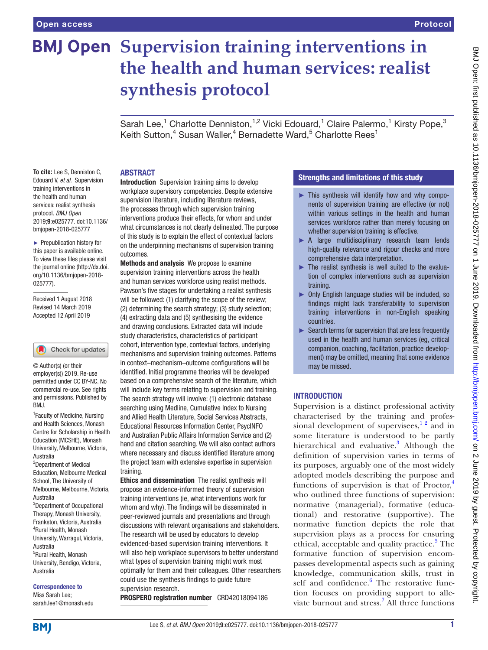# **BMJ Open Supervision training interventions in the health and human services: realist synthesis protocol**

Sarah Lee,<sup>1</sup> Charlotte Denniston,<sup>1,2</sup> Vicki Edouard,<sup>1</sup> Claire Palermo,<sup>1</sup> Kirsty Pope,<sup>3</sup> Keith Sutton,<sup>4</sup> Susan Waller,<sup>4</sup> Bernadette Ward,<sup>5</sup> Charlotte Rees<sup>1</sup>

#### **To cite:** Lee S, Denniston C, Edouard V, *et al*. Supervision training interventions in the health and human services: realist synthesis protocol. *BMJ Open* 2019;9:e025777. doi:10.1136/ bmjopen-2018-025777

► Prepublication history for this paper is available online. To view these files please visit the journal online (http://dx.doi. org/10.1136/bmjopen-2018- 025777).

Received 1 August 2018 Revised 14 March 2019 Accepted 12 April 2019

#### Check for updates

© Author(s) (or their employer(s)) 2019. Re-use permitted under CC BY-NC. No commercial re-use. See rights and permissions. Published by BMJ.

<sup>1</sup> Faculty of Medicine, Nursing and Health Sciences, Monash Centre for Scholarship in Health Education (MCSHE), Monash University, Melbourne, Victoria, Australia

<sup>2</sup>Department of Medical Education, Melbourne Medical School, The University of Melbourne, Melbourne, Victoria, Australia

3 Department of Occupational Therapy, Monash University, Frankston, Victoria, Australia 4 Rural Health, Monash University, Warragul, Victoria, Australia 5 Rural Health, Monash University, Bendigo, Victoria, Australia

Correspondence to Miss Sarah Lee; sarah.lee1@monash.edu

# **ABSTRACT**

Introduction Supervision training aims to develop workplace supervisory competencies. Despite extensive supervision literature, including literature reviews, the processes through which supervision training interventions produce their effects, for whom and under what circumstances is not clearly delineated. The purpose of this study is to explain the effect of contextual factors on the underpinning mechanisms of supervision training outcomes.

Methods and analysis We propose to examine supervision training interventions across the health and human services workforce using realist methods. Pawson's five stages for undertaking a realist synthesis will be followed: (1) clarifying the scope of the review; (2) determining the search strategy; (3) study selection; (4) extracting data and (5) synthesising the evidence and drawing conclusions. Extracted data will include study characteristics, characteristics of participant cohort, intervention type, contextual factors, underlying mechanisms and supervision training outcomes. Patterns in context–mechanism–outcome configurations will be identified. Initial programme theories will be developed based on a comprehensive search of the literature, which will include key terms relating to supervision and training. The search strategy will involve: (1) electronic database searching using Medline, Cumulative Index to Nursing and Allied Health Literature, Social Services Abstracts, Educational Resources Information Center, PsycINFO and Australian Public Affairs Information Service and (2) hand and citation searching. We will also contact authors where necessary and discuss identified literature among the project team with extensive expertise in supervision training.

Ethics and dissemination The realist synthesis will propose an evidence-informed theory of supervision training interventions (ie, what interventions work for whom and why). The findings will be disseminated in peer-reviewed journals and presentations and through discussions with relevant organisations and stakeholders. The research will be used by educators to develop evidenced-based supervision training interventions. It will also help workplace supervisors to better understand what types of supervision training might work most optimally for them and their colleagues. Other researchers could use the synthesis findings to guide future supervision research.

PROSPERO registration number CRD42018094186

# Strengths and limitations of this study

- $\blacktriangleright$  This synthesis will identify how and why components of supervision training are effective (or not) within various settings in the health and human services workforce rather than merely focusing on whether supervision training is effective.
- ► A large multidisciplinary research team lends high-quality relevance and rigour checks and more comprehensive data interpretation.
- ► The realist synthesis is well suited to the evaluation of complex interventions such as supervision training.
- ► Only English language studies will be included, so findings might lack transferability to supervision training interventions in non-English speaking countries.
- ► Search terms for supervision that are less frequently used in the health and human services (eg, critical companion, coaching, facilitation, practice development) may be omitted, meaning that some evidence may be missed.

# **INTRODUCTION**

Supervision is a distinct professional activity characterised by the training and professional development of supervisees,<sup>12</sup> and in some literature is understood to be partly hierarchical and evaluative.<sup>3</sup> Although the definition of supervision varies in terms of its purposes, arguably one of the most widely adopted models describing the purpose and functions of supervision is that of Proctor, $4\overline{4}$ who outlined three functions of supervision: normative (managerial), formative (educational) and restorative (supportive). The normative function depicts the role that supervision plays as a process for ensuring ethical, acceptable and quality practice.<sup>5</sup> The formative function of supervision encompasses developmental aspects such as gaining knowledge, communication skills, trust in self and confidence.<sup>6</sup> The restorative function focuses on providing support to alleviate burnout and stress.7 All three functions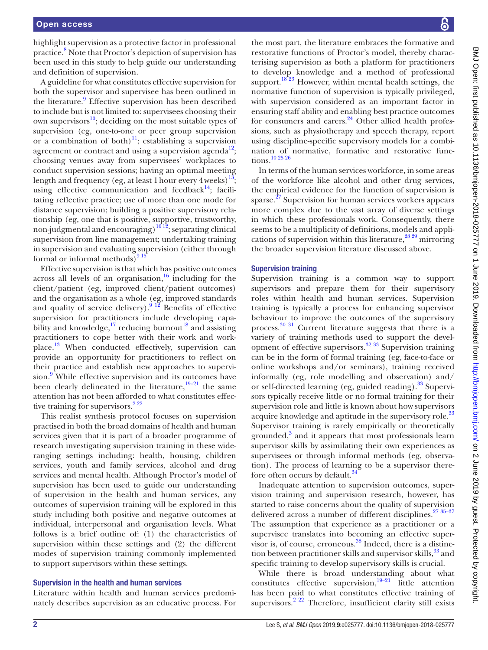highlight supervision as a protective factor in professional practice.<sup>8</sup> Note that Proctor's depiction of supervision has been used in this study to help guide our understanding and definition of supervision.

A guideline for what constitutes effective supervision for both the supervisor and supervisee has been outlined in the literature.<sup>9</sup> Effective supervision has been described to include but is not limited to: supervisees choosing their own supervisors $^{10}$ ; deciding on the most suitable types of supervision (eg, one-to-one or peer group supervision or a combination of both)<sup>11</sup>; establishing a supervision agreement or contract and using a supervision agenda<sup>12</sup>; choosing venues away from supervisees' workplaces to conduct supervision sessions; having an optimal meeting length and frequency (eg, at least 1 hour every 4 weeks) $^{13}$ ; using effective communication and feedback $14$ ; facilitating reflective practice; use of more than one mode for distance supervision; building a positive supervisory relationship (eg, one that is positive, supportive, trustworthy, non-judgmental and encouraging)10 12; separating clinical supervision from line management; undertaking training in supervision and evaluating supervision (either through formal or informal methods) $915$ 

Effective supervision is that which has positive outcomes across all levels of an organisation, $16$  including for the client/patient (eg, improved client/patient outcomes) and the organisation as a whole (eg, improved standards and quality of service delivery). $\frac{9}{12}$  Benefits of effective supervision for practitioners include developing capability and knowledge, $^{17}$  reducing burnout<sup>18</sup> and assisting practitioners to cope better with their work and workplace.<sup>13</sup> When conducted effectively, supervision can provide an opportunity for practitioners to reflect on their practice and establish new approaches to supervision.<sup>9</sup> While effective supervision and its outcomes have been clearly delineated in the literature, $\frac{19-21}{2}$  the same attention has not been afforded to what constitutes effective training for supervisors. $2^{22}$ 

This realist synthesis protocol focuses on supervision practised in both the broad domains of health and human services given that it is part of a broader programme of research investigating supervision training in these wideranging settings including: health, housing, children services, youth and family services, alcohol and drug services and mental health. Although Proctor's model of supervision has been used to guide our understanding of supervision in the health and human services, any outcomes of supervision training will be explored in this study including both positive and negative outcomes at individual, interpersonal and organisation levels. What follows is a brief outline of: (1) the characteristics of supervision within these settings and (2) the different modes of supervision training commonly implemented to support supervisors within these settings.

# Supervision in the health and human services

Literature within health and human services predominately describes supervision as an educative process. For

the most part, the literature embraces the formative and restorative functions of Proctor's model, thereby characterising supervision as both a platform for practitioners to develop knowledge and a method of professional support.<sup>18</sup><sup>23</sup> However, within mental health settings, the normative function of supervision is typically privileged, with supervision considered as an important factor in ensuring staff ability and enabling best practice outcomes for consumers and carers. $24$  Other allied health professions, such as physiotherapy and speech therapy, report using discipline-specific supervisory models for a combination of normative, formative and restorative functions.10 25 26

In terms of the human services workforce, in some areas of the workforce like alcohol and other drug services, the empirical evidence for the function of supervision is sparse.<sup>27</sup> Supervision for human services workers appears more complex due to the vast array of diverse settings in which these professionals work. Consequently, there seems to be a multiplicity of definitions, models and applications of supervision within this literature,  $28\frac{29}{9}$  mirroring the broader supervision literature discussed above.

# Supervision training

Supervision training is a common way to support supervisors and prepare them for their supervisory roles within health and human services. Supervision training is typically a process for enhancing supervisor behaviour to improve the outcomes of the supervisory process.<sup>30 31</sup> Current literature suggests that there is a variety of training methods used to support the development of effective supervisors.32 33 Supervision training can be in the form of formal training (eg, face-to-face or online workshops and/or seminars), training received informally (eg, role modelling and observation) and/ or self-directed learning (eg, guided reading).<sup>33</sup> Supervisors typically receive little or no formal training for their supervision role and little is known about how supervisors acquire knowledge and aptitude in the supervisory role.<sup>33</sup> Supervisor training is rarely empirically or theoretically grounded,<sup>3</sup> and it appears that most professionals learn supervisor skills by assimilating their own experiences as supervisees or through informal methods (eg, observation). The process of learning to be a supervisor therefore often occurs by default.<sup>34</sup>

Inadequate attention to supervision outcomes, supervision training and supervision research, however, has started to raise concerns about the quality of supervision delivered across a number of different disciplines.<sup>27 35-37</sup> The assumption that experience as a practitioner or a supervisee translates into becoming an effective supervisor is, of course, erroneous. $38$  Indeed, there is a distinction between practitioner skills and supervisor skills,  $33$  and specific training to develop supervisory skills is crucial.

While there is broad understanding about what constitutes effective supervision,<sup>19–21</sup> little attention has been paid to what constitutes effective training of supervisors.<sup>2</sup> <sup>22</sup> Therefore, insufficient clarity still exists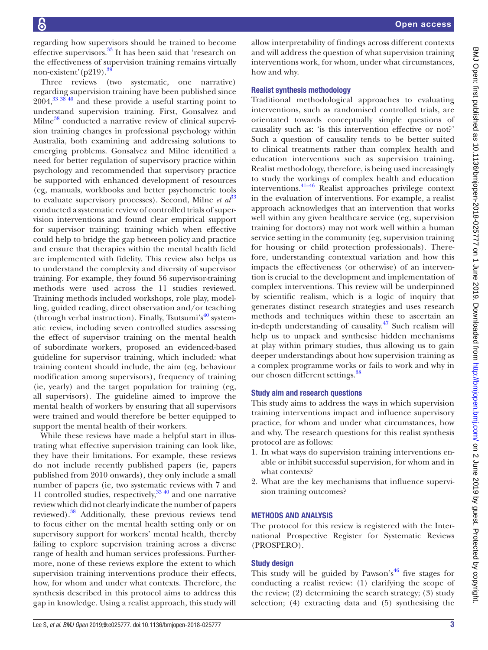regarding how supervisors should be trained to become effective supervisors.<sup>33</sup> It has been said that 'research on the effectiveness of supervision training remains virtually non-existent'(p219). $39$ 

Three reviews (two systematic, one narrative) regarding supervision training have been published since  $2004$ ,<sup>33 38 40</sup> and these provide a useful starting point to understand supervision training. First, Gonsalvez and Milne<sup>38</sup> conducted a narrative review of clinical supervision training changes in professional psychology within Australia, both examining and addressing solutions to emerging problems. Gonsalvez and Milne identified a need for better regulation of supervisory practice within psychology and recommended that supervisory practice be supported with enhanced development of resources (eg, manuals, workbooks and better psychometric tools to evaluate supervisory processes). Second, Milne *et al*<sup>33</sup> conducted a systematic review of controlled trials of supervision interventions and found clear empirical support for supervisor training; training which when effective could help to bridge the gap between policy and practice and ensure that therapies within the mental health field are implemented with fidelity. This review also helps us to understand the complexity and diversity of supervisor training. For example, they found 56 supervisor-training methods were used across the 11 studies reviewed. Training methods included workshops, role play, modelling, guided reading, direct observation and/or teaching (through verbal instruction). Finally, Tsutsumi's<sup>40</sup> systematic review, including seven controlled studies assessing the effect of supervisor training on the mental health of subordinate workers, proposed an evidenced-based guideline for supervisor training, which included: what training content should include, the aim (eg, behaviour modification among supervisors), frequency of training (ie, yearly) and the target population for training (eg, all supervisors). The guideline aimed to improve the mental health of workers by ensuring that all supervisors were trained and would therefore be better equipped to support the mental health of their workers.

While these reviews have made a helpful start in illustrating what effective supervision training can look like, they have their limitations. For example, these reviews do not include recently published papers (ie, papers published from 2010 onwards), they only include a small number of papers (ie, two systematic reviews with 7 and 11 controlled studies, respectively,  $33\frac{40}{3}$  and one narrative review which did not clearly indicate the number of papers reviewed).38 Additionally, these previous reviews tend to focus either on the mental health setting only or on supervisory support for workers' mental health, thereby failing to explore supervision training across a diverse range of health and human services professions. Furthermore, none of these reviews explore the extent to which supervision training interventions produce their effects, how, for whom and under what contexts. Therefore, the synthesis described in this protocol aims to address this gap in knowledge. Using a realist approach, this study will allow interpretability of findings across different contexts and will address the question of what supervision training interventions work, for whom, under what circumstances, how and why.

# Realist synthesis methodology

Traditional methodological approaches to evaluating interventions, such as randomised controlled trials, are orientated towards conceptually simple questions of causality such as: 'is this intervention effective or not?' Such a question of causality tends to be better suited to clinical treatments rather than complex health and education interventions such as supervision training. Realist methodology, therefore, is being used increasingly to study the workings of complex health and education interventions.41–46 Realist approaches privilege context in the evaluation of interventions. For example, a realist approach acknowledges that an intervention that works well within any given healthcare service (eg, supervision training for doctors) may not work well within a human service setting in the community (eg, supervision training for housing or child protection professionals). Therefore, understanding contextual variation and how this impacts the effectiveness (or otherwise) of an intervention is crucial to the development and implementation of complex interventions. This review will be underpinned by scientific realism, which is a logic of inquiry that generates distinct research strategies and uses research methods and techniques within these to ascertain an in-depth understanding of causality. $47$  Such realism will help us to unpack and synthesise hidden mechanisms at play within primary studies, thus allowing us to gain deeper understandings about how supervision training as a complex programme works or fails to work and why in our chosen different settings.<sup>38</sup>

# Study aim and research questions

This study aims to address the ways in which supervision training interventions impact and influence supervisory practice, for whom and under what circumstances, how and why. The research questions for this realist synthesis protocol are as follows:

- 1. In what ways do supervision training interventions enable or inhibit successful supervision, for whom and in what contexts?
- 2. What are the key mechanisms that influence supervision training outcomes?

#### Methods and analysis

The protocol for this review is registered with the International Prospective Register for Systematic Reviews (PROSPERO).

#### Study design

This study will be guided by Pawson's<sup>46</sup> five stages for conducting a realist review: (1) clarifying the scope of the review; (2) determining the search strategy; (3) study selection; (4) extracting data and (5) synthesising the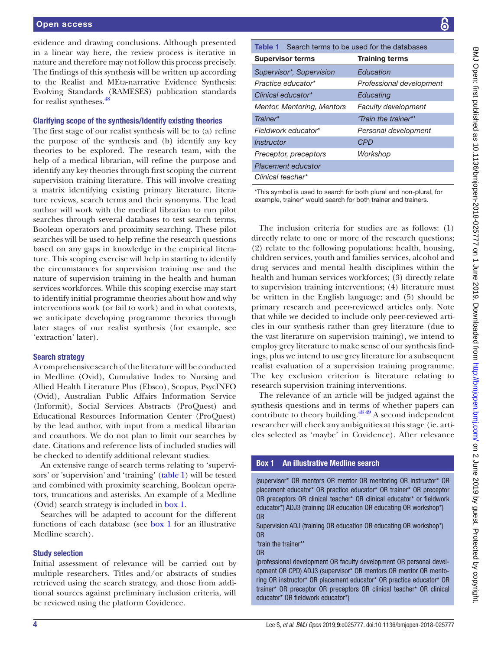evidence and drawing conclusions. Although presented in a linear way here, the review process is iterative in nature and therefore may not follow this process precisely. The findings of this synthesis will be written up according to the Realist and MEta-narrative Evidence Synthesis: Evolving Standards (RAMESES) publication standards for realist syntheses.48

# Clarifying scope of the synthesis/Identify existing theories

The first stage of our realist synthesis will be to (a) refine the purpose of the synthesis and (b) identify any key theories to be explored. The research team, with the help of a medical librarian, will refine the purpose and identify any key theories through first scoping the current supervision training literature. This will involve creating a matrix identifying existing primary literature, literature reviews, search terms and their synonyms. The lead author will work with the medical librarian to run pilot searches through several databases to test search terms, Boolean operators and proximity searching. These pilot searches will be used to help refine the research questions based on any gaps in knowledge in the empirical literature. This scoping exercise will help in starting to identify the circumstances for supervision training use and the nature of supervision training in the health and human services workforces. While this scoping exercise may start to identify initial programme theories about how and why interventions work (or fail to work) and in what contexts, we anticipate developing programme theories through later stages of our realist synthesis (for example, see 'extraction' later).

# Search strategy

A comprehensive search of the literature will be conducted in Medline (Ovid), Cumulative Index to Nursing and Allied Health Literature Plus (Ebsco), Scopus, PsycINFO (Ovid), Australian Public Affairs Information Service (Informit), Social Services Abstracts (ProQuest) and Educational Resources Information Center (ProQuest) by the lead author, with input from a medical librarian and coauthors. We do not plan to limit our searches by date. Citations and reference lists of included studies will be checked to identify additional relevant studies.

An extensive range of search terms relating to 'supervisors' or 'supervision' and 'training' (table 1) will be tested and combined with proximity searching, Boolean operators, truncations and asterisks. An example of a Medline (Ovid) search strategy is included in box 1.

Searches will be adapted to account for the different functions of each database (see box 1 for an illustrative Medline search).

# Study selection

Initial assessment of relevance will be carried out by multiple researchers. Titles and/or abstracts of studies retrieved using the search strategy, and those from additional sources against preliminary inclusion criteria, will be reviewed using the platform Covidence.

| Search terms to be used for the databases<br>Table 1 |                            |
|------------------------------------------------------|----------------------------|
| <b>Supervisor terms</b>                              | <b>Training terms</b>      |
| Supervisor*, Supervision                             | Education                  |
| Practice educator*                                   | Professional development   |
| Clinical educator*                                   | Educating                  |
| Mentor, Mentoring, Mentors                           | <b>Faculty development</b> |
| Trainer*                                             | 'Train the trainer*'       |
| Fieldwork educator*                                  | Personal development       |
| Instructor                                           | CPD                        |
| Preceptor, preceptors                                | Workshop                   |
| Placement educator                                   |                            |
| Clinical teacher*                                    |                            |
|                                                      |                            |

\*This symbol is used to search for both plural and non-plural, for example, trainer\* would search for both trainer and trainers.

The inclusion criteria for studies are as follows: (1) directly relate to one or more of the research questions; (2) relate to the following populations: health, housing, children services, youth and families services, alcohol and drug services and mental health disciplines within the health and human services workforces; (3) directly relate to supervision training interventions; (4) literature must be written in the English language; and (5) should be primary research and peer-reviewed articles only. Note that while we decided to include only peer-reviewed articles in our synthesis rather than grey literature (due to the vast literature on supervision training), we intend to employ grey literature to make sense of our synthesis findings, plus we intend to use grey literature for a subsequent realist evaluation of a supervision training programme. The key exclusion criterion is literature relating to research supervision training interventions.

The relevance of an article will be judged against the synthesis questions and in terms of whether papers can contribute to theory building.<sup>48 49</sup> A second independent researcher will check any ambiguities at this stage (ie, articles selected as 'maybe' in Covidence). After relevance

# Box 1 An illustrative Medline search

(supervisor\* OR mentors OR mentor OR mentoring OR instructor\* OR placement educator\* OR practice educator\* OR trainer\* OR preceptor OR preceptors OR clinical teacher\* OR clinical educator\* or fieldwork educator\*) ADJ3 (training OR education OR educating OR workshop\*) OR

Supervision ADJ (training OR education OR educating OR workshop\*) OR

'train the trainer\*' OR

(professional development OR faculty development OR personal development OR CPD) ADJ3 (supervisor\* OR mentors OR mentor OR mentoring OR instructor\* OR placement educator\* OR practice educator\* OR trainer\* OR preceptor OR preceptors OR clinical teacher\* OR clinical educator\* OR fieldwork educator\*)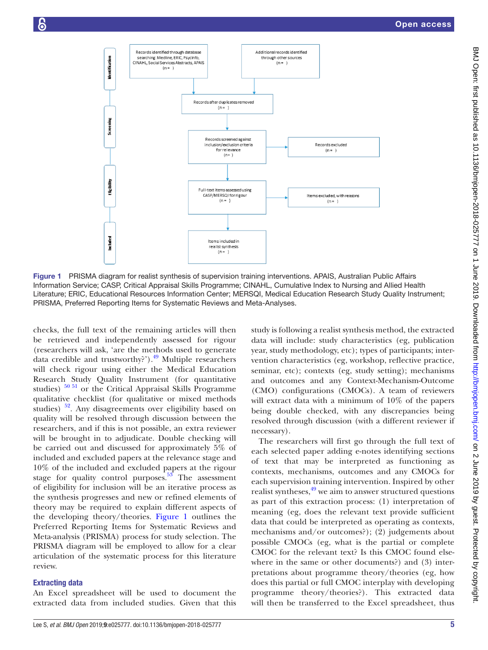

Figure 1 PRISMA diagram for realist synthesis of supervision training interventions. APAIS, Australian Public Affairs Information Service; CASP, Critical Appraisal Skills Programme; CINAHL, Cumulative Index to Nursing and Allied Health Literature; ERIC, Educational Resources Information Center; MERSQI, Medical Education Research Study Quality Instrument; PRISMA, Preferred Reporting Items for Systematic Reviews and Meta-Analyses.

checks, the full text of the remaining articles will then be retrieved and independently assessed for rigour (researchers will ask, 'are the methods used to generate data credible and trustworthy?').<sup>49</sup> Multiple researchers will check rigour using either the Medical Education Research Study Quality Instrument (for quantitative studies) 50 51 or the Critical Appraisal Skills Programme qualitative checklist (for qualitative or mixed methods studies)<sup>52</sup>. Any disagreements over eligibility based on quality will be resolved through discussion between the researchers, and if this is not possible, an extra reviewer will be brought in to adjudicate. Double checking will be carried out and discussed for approximately 5% of included and excluded papers at the relevance stage and 10% of the included and excluded papers at the rigour stage for quality control purposes. $53$  The assessment of eligibility for inclusion will be an iterative process as the synthesis progresses and new or refined elements of theory may be required to explain different aspects of the developing theory/theories. Figure 1 outlines the Preferred Reporting Items for Systematic Reviews and Meta-analysis (PRISMA) process for study selection. The PRISMA diagram will be employed to allow for a clear articulation of the systematic process for this literature review.

#### Extracting data

An Excel spreadsheet will be used to document the extracted data from included studies. Given that this study is following a realist synthesis method, the extracted data will include: study characteristics (eg, publication year, study methodology, etc); types of participants; intervention characteristics (eg, workshop, reflective practice, seminar, etc); contexts (eg, study setting); mechanisms and outcomes and any Context-Mechanism-Outcome (CMO) configurations (CMOCs). A team of reviewers will extract data with a minimum of 10% of the papers being double checked, with any discrepancies being resolved through discussion (with a different reviewer if necessary).

The researchers will first go through the full text of each selected paper adding e-notes identifying sections of text that may be interpreted as functioning as contexts, mechanisms, outcomes and any CMOCs for each supervision training intervention. Inspired by other realist syntheses, $49$  we aim to answer structured questions as part of this extraction process: (1) interpretation of meaning (eg, does the relevant text provide sufficient data that could be interpreted as operating as contexts, mechanisms and/or outcomes?); (2) judgements about possible CMOCs (eg, what is the partial or complete CMOC for the relevant text? Is this CMOC found elsewhere in the same or other documents?) and (3) interpretations about programme theory/theories (eg, how does this partial or full CMOC interplay with developing programme theory/theories?). This extracted data will then be transferred to the Excel spreadsheet, thus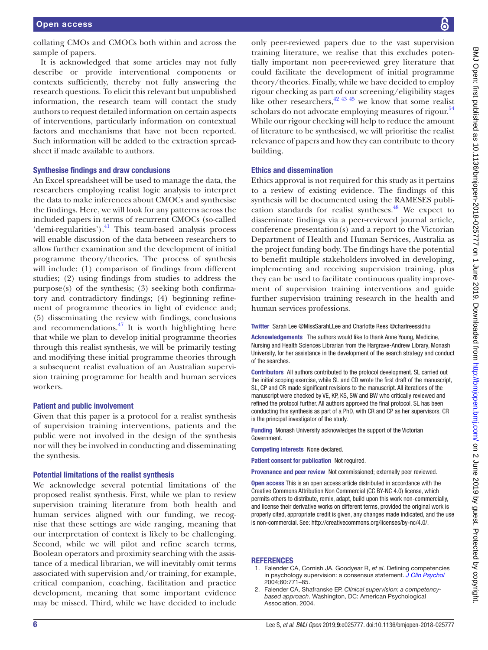collating CMOs and CMOCs both within and across the sample of papers.

It is acknowledged that some articles may not fully describe or provide interventional components or contexts sufficiently, thereby not fully answering the research questions. To elicit this relevant but unpublished information, the research team will contact the study authors to request detailed information on certain aspects of interventions, particularly information on contextual factors and mechanisms that have not been reported. Such information will be added to the extraction spreadsheet if made available to authors.

#### Synthesise findings and draw conclusions

An Excel spreadsheet will be used to manage the data, the researchers employing realist logic analysis to interpret the data to make inferences about CMOCs and synthesise the findings. Here, we will look for any patterns across the included papers in terms of recurrent CMOCs (so-called 'demi-regularities').<sup>41</sup> This team-based analysis process will enable discussion of the data between researchers to allow further examination and the development of initial programme theory/theories. The process of synthesis will include: (1) comparison of findings from different studies; (2) using findings from studies to address the purpose(s) of the synthesis; (3) seeking both confirmatory and contradictory findings; (4) beginning refinement of programme theories in light of evidence and; (5) disseminating the review with findings, conclusions and recommendations. $47$  It is worth highlighting here that while we plan to develop initial programme theories through this realist synthesis, we will be primarily testing and modifying these initial programme theories through a subsequent realist evaluation of an Australian supervision training programme for health and human services workers.

#### Patient and public involvement

Given that this paper is a protocol for a realist synthesis of supervision training interventions, patients and the public were not involved in the design of the synthesis nor will they be involved in conducting and disseminating the synthesis.

#### Potential limitations of the realist synthesis

We acknowledge several potential limitations of the proposed realist synthesis. First, while we plan to review supervision training literature from both health and human services aligned with our funding, we recognise that these settings are wide ranging, meaning that our interpretation of context is likely to be challenging. Second, while we will pilot and refine search terms, Boolean operators and proximity searching with the assistance of a medical librarian, we will inevitably omit terms associated with supervision and/or training, for example, critical companion, coaching, facilitation and practice development, meaning that some important evidence may be missed. Third, while we have decided to include

only peer-reviewed papers due to the vast supervision training literature, we realise that this excludes potentially important non peer-reviewed grey literature that could facilitate the development of initial programme theory/theories. Finally, while we have decided to employ rigour checking as part of our screening/eligibility stages like other researchers, $42 \frac{43 \frac{45}{10}}$  we know that some realist scholars do not advocate employing measures of rigour.<sup>54</sup> While our rigour checking will help to reduce the amount of literature to be synthesised, we will prioritise the realist relevance of papers and how they can contribute to theory building.

#### Ethics and dissemination

Ethics approval is not required for this study as it pertains to a review of existing evidence. The findings of this synthesis will be documented using the RAMESES publication standards for realist syntheses.<sup>48</sup> We expect to disseminate findings via a peer-reviewed journal article, conference presentation(s) and a report to the Victorian Department of Health and Human Services, Australia as the project funding body. The findings have the potential to benefit multiple stakeholders involved in developing, implementing and receiving supervision training, plus they can be used to facilitate continuous quality improvement of supervision training interventions and guide further supervision training research in the health and human services professions.

Twitter Sarah Lee @MissSarahLLee and Charlotte Rees @charlreessidhu

Acknowledgements The authors would like to thank Anne Young, Medicine, Nursing and Health Sciences Librarian from the Hargrave-Andrew Library, Monash University, for her assistance in the development of the search strategy and conduct of the searches.

Contributors All authors contributed to the protocol development. SL carried out the initial scoping exercise, while SL and CD wrote the first draft of the manuscript, SL, CP and CR made significant revisions to the manuscript. All iterations of the manuscript were checked by VE, KP, KS, SW and BW who critically reviewed and refined the protocol further. All authors approved the final protocol. SL has been conducting this synthesis as part of a PhD, with CR and CP as her supervisors. CR is the principal investigator of the study.

Funding Monash University acknowledges the support of the Victorian Government.

Competing interests None declared.

Patient consent for publication Not required.

Provenance and peer review Not commissioned; externally peer reviewed.

Open access This is an open access article distributed in accordance with the Creative Commons Attribution Non Commercial (CC BY-NC 4.0) license, which permits others to distribute, remix, adapt, build upon this work non-commercially, and license their derivative works on different terms, provided the original work is properly cited, appropriate credit is given, any changes made indicated, and the use is non-commercial. See: http://creativecommons.org/licenses/by-nc/4.0/.

#### **REFERENCES**

- 1. Falender CA, Cornish JA, Goodyear R, *et al*. Defining competencies in psychology supervision: a consensus statement. *J Clin Psychol* 2004;60:771–85.
- 2. Falender CA, Shafranske EP. *Clinical supervision: a competencybased approach*. Washington, DC: American Psychological Association, 2004.